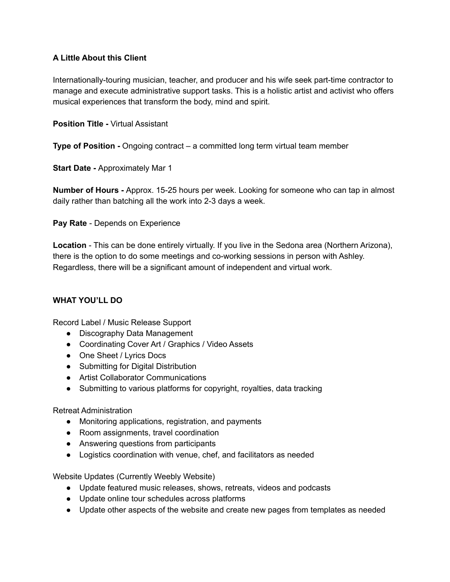### **A Little About this Client**

Internationally-touring musician, teacher, and producer and his wife seek part-time contractor to manage and execute administrative support tasks. This is a holistic artist and activist who offers musical experiences that transform the body, mind and spirit.

#### **Position Title -** Virtual Assistant

**Type of Position -** Ongoing contract – a committed long term virtual team member

**Start Date -** Approximately Mar 1

**Number of Hours -** Approx. 15-25 hours per week. Looking for someone who can tap in almost daily rather than batching all the work into 2-3 days a week.

**Pay Rate** - Depends on Experience

**Location** - This can be done entirely virtually. If you live in the Sedona area (Northern Arizona), there is the option to do some meetings and co-working sessions in person with Ashley. Regardless, there will be a significant amount of independent and virtual work.

## **WHAT YOU'LL DO**

Record Label / Music Release Support

- Discography Data Management
- Coordinating Cover Art / Graphics / Video Assets
- One Sheet / Lyrics Docs
- Submitting for Digital Distribution
- Artist Collaborator Communications
- Submitting to various platforms for copyright, royalties, data tracking

#### Retreat Administration

- Monitoring applications, registration, and payments
- Room assignments, travel coordination
- Answering questions from participants
- Logistics coordination with venue, chef, and facilitators as needed

Website Updates (Currently Weebly Website)

- Update featured music releases, shows, retreats, videos and podcasts
- Update online tour schedules across platforms
- Update other aspects of the website and create new pages from templates as needed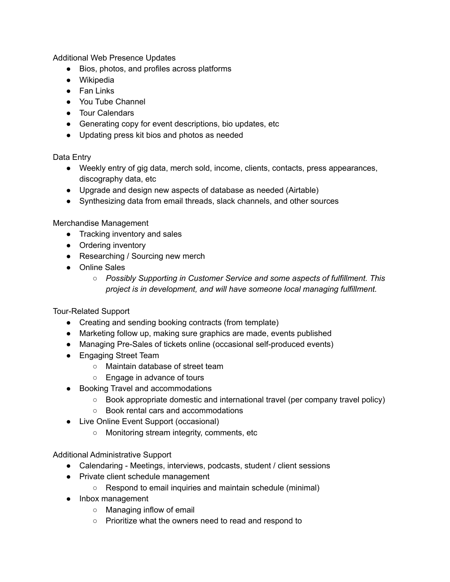Additional Web Presence Updates

- Bios, photos, and profiles across platforms
- Wikipedia
- Fan Links
- You Tube Channel
- Tour Calendars
- Generating copy for event descriptions, bio updates, etc
- Updating press kit bios and photos as needed

Data Entry

- Weekly entry of gig data, merch sold, income, clients, contacts, press appearances, discography data, etc
- Upgrade and design new aspects of database as needed (Airtable)
- Synthesizing data from email threads, slack channels, and other sources

Merchandise Management

- Tracking inventory and sales
- Ordering inventory
- Researching / Sourcing new merch
- Online Sales
	- *○ Possibly Supporting in Customer Service and some aspects of fulfillment. This project is in development, and will have someone local managing fulfillment.*

## Tour-Related Support

- Creating and sending booking contracts (from template)
- Marketing follow up, making sure graphics are made, events published
- Managing Pre-Sales of tickets online (occasional self-produced events)
- Engaging Street Team
	- Maintain database of street team
	- Engage in advance of tours
- Booking Travel and accommodations
	- Book appropriate domestic and international travel (per company travel policy)
	- Book rental cars and accommodations
- Live Online Event Support (occasional)
	- Monitoring stream integrity, comments, etc

Additional Administrative Support

- Calendaring Meetings, interviews, podcasts, student / client sessions
- Private client schedule management
	- Respond to email inquiries and maintain schedule (minimal)
- Inbox management
	- Managing inflow of email
	- Prioritize what the owners need to read and respond to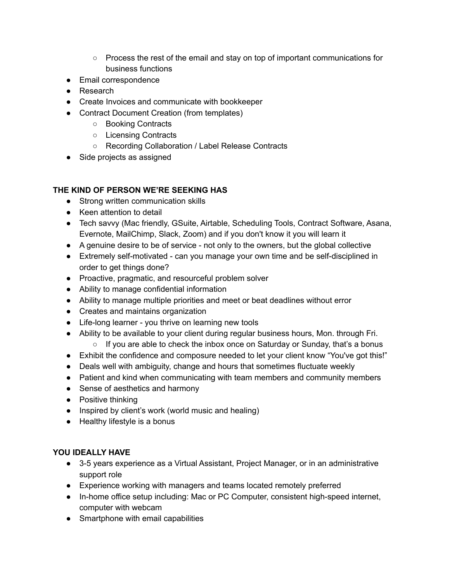- Process the rest of the email and stay on top of important communications for business functions
- Email correspondence
- Research
- Create Invoices and communicate with bookkeeper
- Contract Document Creation (from templates)
	- Booking Contracts
	- Licensing Contracts
	- Recording Collaboration / Label Release Contracts
- Side projects as assigned

## **THE KIND OF PERSON WE'RE SEEKING HAS**

- Strong written communication skills
- Keen attention to detail
- Tech savvy (Mac friendly, GSuite, Airtable, Scheduling Tools, Contract Software, Asana, Evernote, MailChimp, Slack, Zoom) and if you don't know it you will learn it
- A genuine desire to be of service not only to the owners, but the global collective
- Extremely self-motivated can you manage your own time and be self-disciplined in order to get things done?
- Proactive, pragmatic, and resourceful problem solver
- Ability to manage confidential information
- Ability to manage multiple priorities and meet or beat deadlines without error
- Creates and maintains organization
- Life-long learner you thrive on learning new tools
- Ability to be available to your client during regular business hours, Mon. through Fri.
	- If you are able to check the inbox once on Saturday or Sunday, that's a bonus
- Exhibit the confidence and composure needed to let your client know "You've got this!"
- Deals well with ambiguity, change and hours that sometimes fluctuate weekly
- Patient and kind when communicating with team members and community members
- Sense of aesthetics and harmony
- Positive thinking
- Inspired by client's work (world music and healing)
- Healthy lifestyle is a bonus

# **YOU IDEALLY HAVE**

- 3-5 years experience as a Virtual Assistant, Project Manager, or in an administrative support role
- Experience working with managers and teams located remotely preferred
- In-home office setup including: Mac or PC Computer, consistent high-speed internet, computer with webcam
- Smartphone with email capabilities